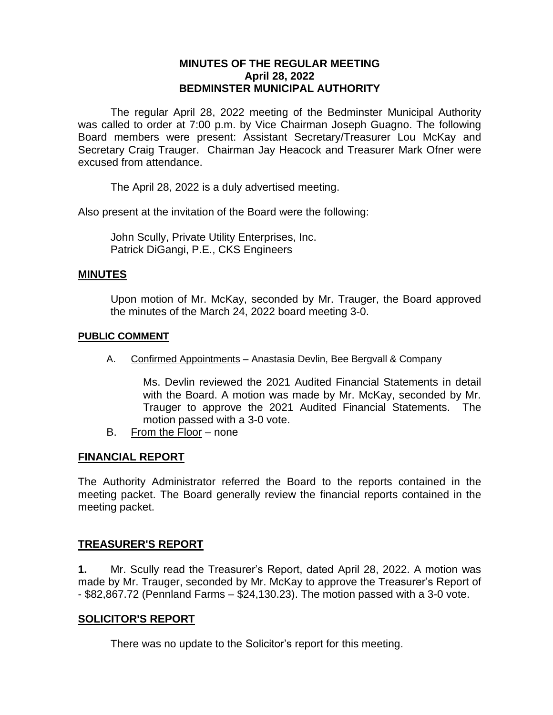## **MINUTES OF THE REGULAR MEETING April 28, 2022 BEDMINSTER MUNICIPAL AUTHORITY**

The regular April 28, 2022 meeting of the Bedminster Municipal Authority was called to order at 7:00 p.m. by Vice Chairman Joseph Guagno. The following Board members were present: Assistant Secretary/Treasurer Lou McKay and Secretary Craig Trauger. Chairman Jay Heacock and Treasurer Mark Ofner were excused from attendance.

The April 28, 2022 is a duly advertised meeting.

Also present at the invitation of the Board were the following:

John Scully, Private Utility Enterprises, Inc. Patrick DiGangi, P.E., CKS Engineers

### **MINUTES**

Upon motion of Mr. McKay, seconded by Mr. Trauger, the Board approved the minutes of the March 24, 2022 board meeting 3-0.

### **PUBLIC COMMENT**

A. Confirmed Appointments – Anastasia Devlin, Bee Bergvall & Company

Ms. Devlin reviewed the 2021 Audited Financial Statements in detail with the Board. A motion was made by Mr. McKay, seconded by Mr. Trauger to approve the 2021 Audited Financial Statements. The motion passed with a 3-0 vote.

B. From the Floor – none

## **FINANCIAL REPORT**

The Authority Administrator referred the Board to the reports contained in the meeting packet. The Board generally review the financial reports contained in the meeting packet.

## **TREASURER'S REPORT**

**1.** Mr. Scully read the Treasurer's Report, dated April 28, 2022. A motion was made by Mr. Trauger, seconded by Mr. McKay to approve the Treasurer's Report of - \$82,867.72 (Pennland Farms – \$24,130.23). The motion passed with a 3-0 vote.

### **SOLICITOR'S REPORT**

There was no update to the Solicitor's report for this meeting.